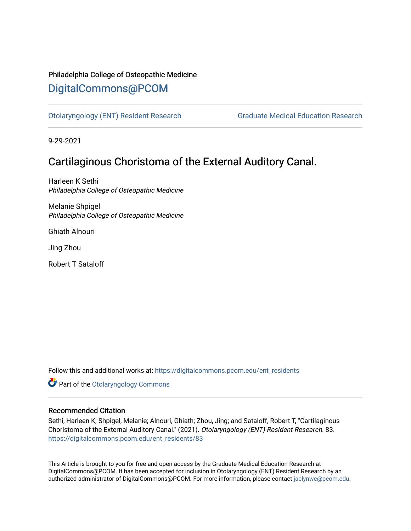# Philadelphia College of Osteopathic Medicine [DigitalCommons@PCOM](https://digitalcommons.pcom.edu/)

[Otolaryngology \(ENT\) Resident Research](https://digitalcommons.pcom.edu/ent_residents) [Graduate Medical Education Research](https://digitalcommons.pcom.edu/graduate_medical_education_research) 

9-29-2021

# Cartilaginous Choristoma of the External Auditory Canal.

Harleen K Sethi Philadelphia College of Osteopathic Medicine

Melanie Shpigel Philadelphia College of Osteopathic Medicine

Ghiath Alnouri

Jing Zhou

Robert T Sataloff

Follow this and additional works at: [https://digitalcommons.pcom.edu/ent\\_residents](https://digitalcommons.pcom.edu/ent_residents?utm_source=digitalcommons.pcom.edu%2Fent_residents%2F83&utm_medium=PDF&utm_campaign=PDFCoverPages)

**Part of the Otolaryngology Commons** 

# Recommended Citation

Sethi, Harleen K; Shpigel, Melanie; Alnouri, Ghiath; Zhou, Jing; and Sataloff, Robert T, "Cartilaginous Choristoma of the External Auditory Canal." (2021). Otolaryngology (ENT) Resident Research. 83. [https://digitalcommons.pcom.edu/ent\\_residents/83](https://digitalcommons.pcom.edu/ent_residents/83?utm_source=digitalcommons.pcom.edu%2Fent_residents%2F83&utm_medium=PDF&utm_campaign=PDFCoverPages) 

This Article is brought to you for free and open access by the Graduate Medical Education Research at DigitalCommons@PCOM. It has been accepted for inclusion in Otolaryngology (ENT) Resident Research by an authorized administrator of DigitalCommons@PCOM. For more information, please contact [jaclynwe@pcom.edu](mailto:jaclynwe@pcom.edu).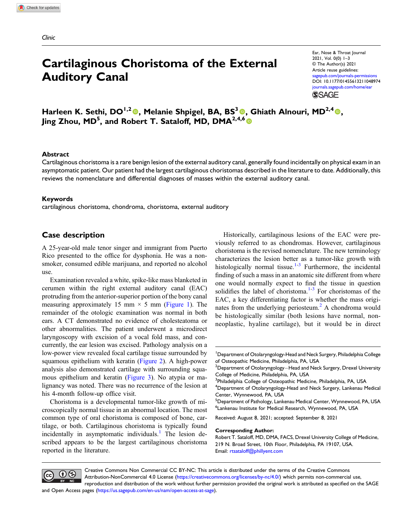Clinic

# Cartilaginous Choristoma of the External Auditory Canal

Ear, Nose & Throat Journal 2021, Vol. 0(0) 1–3 © The Author(s) 2021 Article reuse guidelines: agepub.com/journals-permissions DOI: [10.1177/01455613211048974](https://doi.org/10.1177/01455613211048974) [journals.sagepub.com/home/ear](https://journals.sagepub.com/home/ear) **SSAGE** 

Harleen K. Sethi, DO<sup>1,2</sup><sup>0</sup>, Melanie Shpigel, BA, BS<sup>3</sup><sup>0</sup>, Ghiath Alnouri, MD<sup>2,4</sup><sup>0</sup>, Jing Zhou, MD<sup>5</sup>, and Robert T. Sataloff, MD, DMA<sup>2,4,6</sup> O

### Abstract

Cartilaginous choristoma is a rare benign lesion of the external auditory canal, generally found incidentally on physical exam in an asymptomatic patient. Our patient had the largest cartilaginous choristomas described in the literature to date. Additionally, this reviews the nomenclature and differential diagnoses of masses within the external auditory canal.

### Keywords

cartilaginous choristoma, chondroma, choristoma, external auditory

### Case description

A 25-year-old male tenor singer and immigrant from Puerto Rico presented to the office for dysphonia. He was a nonsmoker, consumed edible marijuana, and reported no alcohol use.

Examination revealed a white, spike-like mass blanketed in cerumen within the right external auditory canal (EAC) protruding from the anterior-superior portion of the bony canal measuring approximately 15 mm  $\times$  5 mm ([Figure 1\)](#page-2-0). The remainder of the otologic examination was normal in both ears. A CT demonstrated no evidence of cholesteatoma or other abnormalities. The patient underwent a microdirect laryngoscopy with excision of a vocal fold mass, and concurrently, the ear lesion was excised. Pathology analysis on a low-power view revealed focal cartilage tissue surrounded by squamous epithelium with keratin ([Figure 2\)](#page-2-1). A high-power analysis also demonstrated cartilage with surrounding squamous epithelium and keratin ([Figure 3\)](#page-2-2). No atypia or malignancy was noted. There was no recurrence of the lesion at his 4-month follow-up office visit.

Choristoma is a developmental tumor-like growth of microscopically normal tissue in an abnormal location. The most common type of oral choristoma is composed of bone, cartilage, or both. Cartilaginous choristoma is typically found incidentally in asymptomatic individuals.<sup>[1](#page-3-0)</sup> The lesion described appears to be the largest cartilaginous choristoma reported in the literature.

Historically, cartilaginous lesions of the EAC were previously referred to as chondromas. However, cartilaginous choristoma is the revised nomenclature. The new terminology characterizes the lesion better as a tumor-like growth with histologically normal tissue.<sup>[1](#page-3-0)-[3](#page-3-1)</sup> Furthermore, the incidental finding of such a mass in an anatomic site different from where one would normally expect to find the tissue in question solidifies the label of choristoma. $1-3$  $1-3$  For choristomas of the EAC, a key differentiating factor is whether the mass origi-nates from the underlying periosteum.<sup>[2](#page-3-2)</sup> A chondroma would be histologically similar (both lesions have normal, nonneoplastic, hyaline cartilage), but it would be in direct

#### Corresponding Author:



Creative Commons Non Commercial CC BY-NC: This article is distributed under the terms of the Creative Commons Attribution-NonCommercial 4.0 License ([https://creativecommons.org/licenses/by-nc/4.0/\)](https://creativecommons.org/licenses/by-nc/4.0/) which permits non-commercial use, reproduction and distribution of the work without further permission provided the original work is attributed as specified on the SAGE

and Open Access pages (<https://us.sagepub.com/en-us/nam/open-access-at-sage>).

<sup>&</sup>lt;sup>1</sup>Department of Otolaryngology-Head and Neck Surgery, Philadelphia College of Osteopathic Medicine, Philadelphia, PA, USA

 $^2$ Department of Otolaryngology $-$ Head and Neck Surgery, Drexel University College of Medicine, Philadelphia, PA, USA

<sup>&</sup>lt;sup>3</sup>Philadelphia College of Osteopathic Medicine, Philadelphia, PA, USA

<sup>4</sup> Department of Otolaryngology-Head and Neck Surgery, Lankenau Medical Center, Wynnewood, PA, USA

<sup>&</sup>lt;sup>5</sup>Department of Pathology, Lankenau Medical Center, Wynnewood, PA, USA 6 Lankenau Institute for Medical Research, Wynnewood, PA, USA

Received: August 8, 2021; accepted: September 8, 2021

Robert T. Sataloff, MD, DMA, FACS, Drexel University College of Medicine, 219 N. Broad Street, 10th Floor, Philadelphia, PA 19107, USA. Email: [rtsataloff@phillyent.com](mailto:rtsataloff@phillyent.com)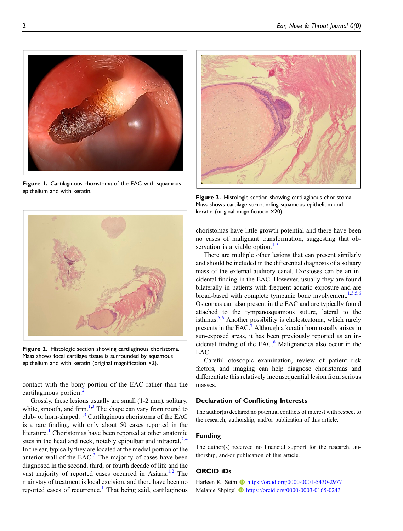<span id="page-2-0"></span>Figure 1. Cartilaginous choristoma of the EAC with squamous epithelium and with keratin.



Figure 2. Histologic section showing cartilaginous choristoma. Mass shows focal cartilage tissue is surrounded by squamous epithelium and with keratin (original magnification ×2).

<span id="page-2-1"></span>contact with the bony portion of the EAC rather than the cartilaginous portion.<sup>[2](#page-3-2)</sup>

Grossly, these lesions usually are small (1-2 mm), solitary, white, smooth, and firm. $1,3$  $1,3$  The shape can vary from round to club- or horn-shaped.<sup>[1,](#page-3-0)[3](#page-3-1)</sup> Cartilaginous choristoma of the EAC is a rare finding, with only about 50 cases reported in the literature.<sup>[1](#page-3-0)</sup> Choristomas have been reported at other anatomic sites in the head and neck, notably epibulbar and intraoral. $^{2,4}$  $^{2,4}$  $^{2,4}$  $^{2,4}$  $^{2,4}$ In the ear, typically they are located at the medial portion of the anterior wall of the EAC.<sup>[3](#page-3-1)</sup> The majority of cases have been diagnosed in the second, third, or fourth decade of life and the vast majority of reported cases occurred in Asians.<sup>[1](#page-3-0)[,2](#page-3-2)</sup> The mainstay of treatment is local excision, and there have been no reported cases of recurrence.<sup>[1](#page-3-0)</sup> That being said, cartilaginous



Figure 3. Histologic section showing cartilaginous choristoma. Mass shows cartilage surrounding squamous epithelium and keratin (original magnification ×20).

<span id="page-2-2"></span>choristomas have little growth potential and there have been no cases of malignant transformation, suggesting that observation is a viable option. $1-3$  $1-3$ 

There are multiple other lesions that can present similarly and should be included in the differential diagnosis of a solitary mass of the external auditory canal. Exostoses can be an incidental finding in the EAC. However, usually they are found bilaterally in patients with frequent aquatic exposure and are broad-based with complete tympanic bone involvement.<sup>1,[3](#page-3-1)[,5](#page-3-4)[,6](#page-3-5)</sup> Osteomas can also present in the EAC and are typically found attached to the tympanosquamous suture, lateral to the isthmus.<sup>5,[6](#page-3-5)</sup> Another possibility is cholesteatoma, which rarely presents in the EAC.<sup>[7](#page-3-6)</sup> Although a keratin horn usually arises in sun-exposed areas, it has been previously reported as an in-cidental finding of the EAC.<sup>[8](#page-3-7)</sup> Malignancies also occur in the EAC.

Careful otoscopic examination, review of patient risk factors, and imaging can help diagnose choristomas and differentiate this relatively inconsequential lesion from serious masses.

### Declaration of Conflicting Interests

The author(s) declared no potential conflicts of interest with respect to the research, authorship, and/or publication of this article.

#### Funding

The author(s) received no financial support for the research, authorship, and/or publication of this article.

## ORCID iDs

Harleen K. Sethi **ID** <https://orcid.org/0000-0001-5430-2977> Melanie Shpigel **I** <https://orcid.org/0000-0003-0165-0243>